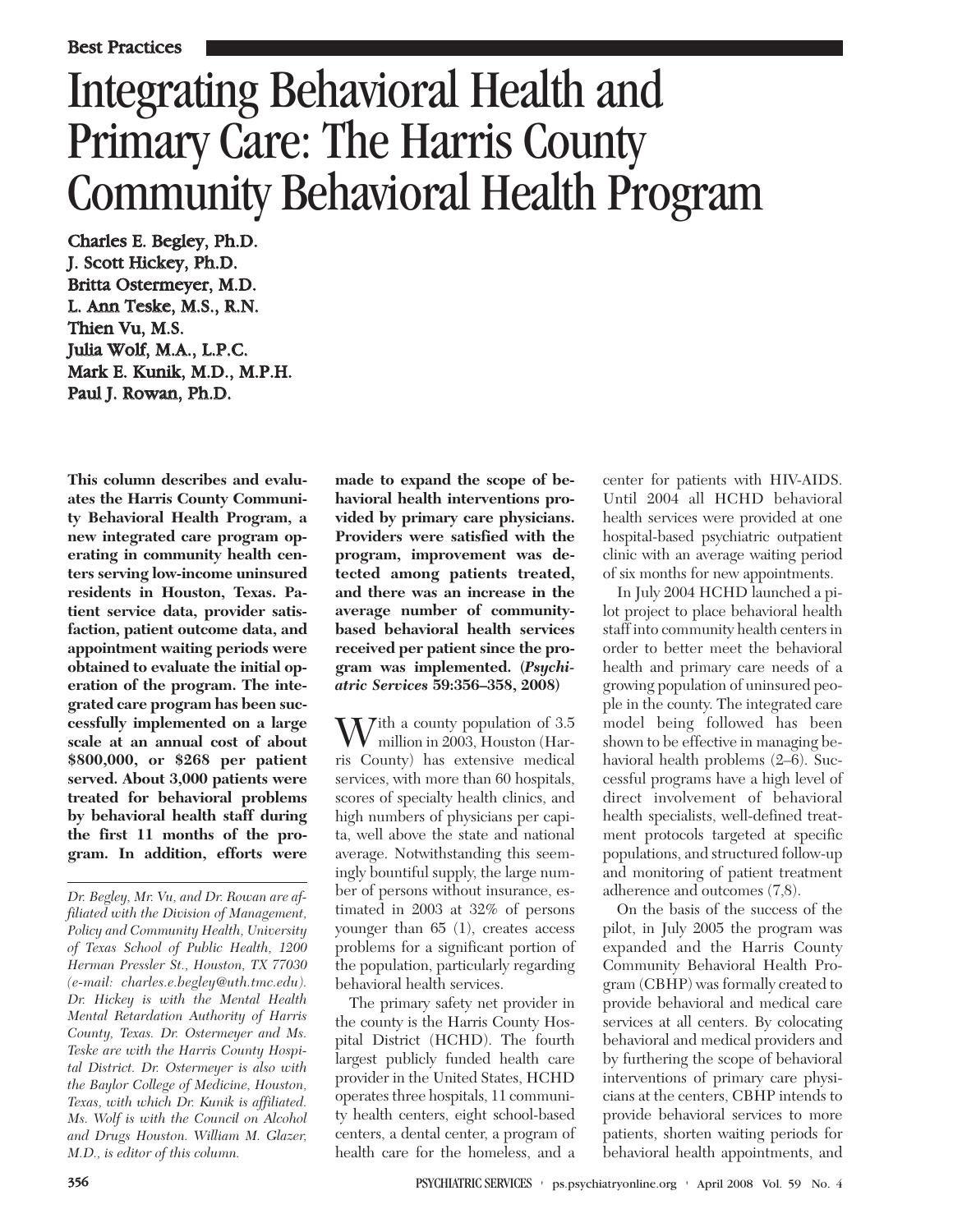# Integrating Behavioral Health and Primary Care: The Harris County Community Behavioral Health Program

Charles E. Begley, Ph.D. J. Scott Hickey, Ph.D. Britta Ostermeyer, M.D. L. Ann Teske, M.S., R.N. Thien Vu, M.S. Julia Wolf, M.A., L.P.C. Mark E. Kunik, M.D., M.P.H. Paul J. Rowan, Ph.D.

**This column describes and evaluates the Harris County Community Behavioral Health Program, a new integrated care program operating in community health centers serving low-income uninsured residents in Houston, Texas. Patient service data, provider satisfaction, patient outcome data, and appointment waiting periods were obtained to evaluate the initial operation of the program. The integrated care program has been successfully implemented on a large scale at an annual cost of about \$800,000, or \$268 per patient served. About 3,000 patients were treated for behavioral problems by behavioral health staff during the first 11 months of the program. In addition, efforts were**

**made to expand the scope of behavioral health interventions provided by primary care physicians. Providers were satisfied with the program, improvement was detected among patients treated, and there was an increase in the average number of communitybased behavioral health services received per patient since the program was implemented. (***Psychiatric Services* **59:356–358, 2008)**

 $W^{\text{ith a county population of 3.5}}$ million in 2003, Houston (Harris County) has extensive medical services, with more than 60 hospitals, scores of specialty health clinics, and high numbers of physicians per capita, well above the state and national average. Notwithstanding this seemingly bountiful supply, the large number of persons without insurance, estimated in 2003 at 32% of persons younger than 65 (1), creates access problems for a significant portion of the population, particularly regarding behavioral health services.

The primary safety net provider in the county is the Harris County Hospital District (HCHD). The fourth largest publicly funded health care provider in the United States, HCHD operates three hospitals, 11 community health centers, eight school-based centers, a dental center, a program of health care for the homeless, and a

center for patients with HIV-AIDS. Until 2004 all HCHD behavioral health services were provided at one hospital-based psychiatric outpatient clinic with an average waiting period of six months for new appointments.

In July 2004 HCHD launched a pilot project to place behavioral health staff into community health centers in order to better meet the behavioral health and primary care needs of a growing population of uninsured people in the county. The integrated care model being followed has been shown to be effective in managing behavioral health problems (2–6). Successful programs have a high level of direct involvement of behavioral health specialists, well-defined treatment protocols targeted at specific populations, and structured follow-up and monitoring of patient treatment adherence and outcomes (7,8).

On the basis of the success of the pilot, in July 2005 the program was expanded and the Harris County Community Behavioral Health Program (CBHP) was formally created to provide behavioral and medical care services at all centers. By colocating behavioral and medical providers and by furthering the scope of behavioral interventions of primary care physicians at the centers, CBHP intends to provide behavioral services to more patients, shorten waiting periods for behavioral health appointments, and

*Dr. Begley, Mr. Vu, and Dr. Rowan are affiliated with the Division of Management, Policy and Community Health, University of Texas School of Public Health, 1200 Herman Pressler St., Houston, TX 77030 (e-mail: charles.e.begley@uth.tmc.edu). Dr. Hickey is with the Mental Health Mental Retardation Authority of Harris County, Texas. Dr. Ostermeyer and Ms. Teske are with the Harris County Hospital District. Dr. Ostermeyer is also with the Baylor College of Medicine, Houston, Texas, with which Dr. Kunik is affiliated. Ms. Wolf is with the Council on Alcohol and Drugs Houston. William M. Glazer, M.D., is editor of this column.*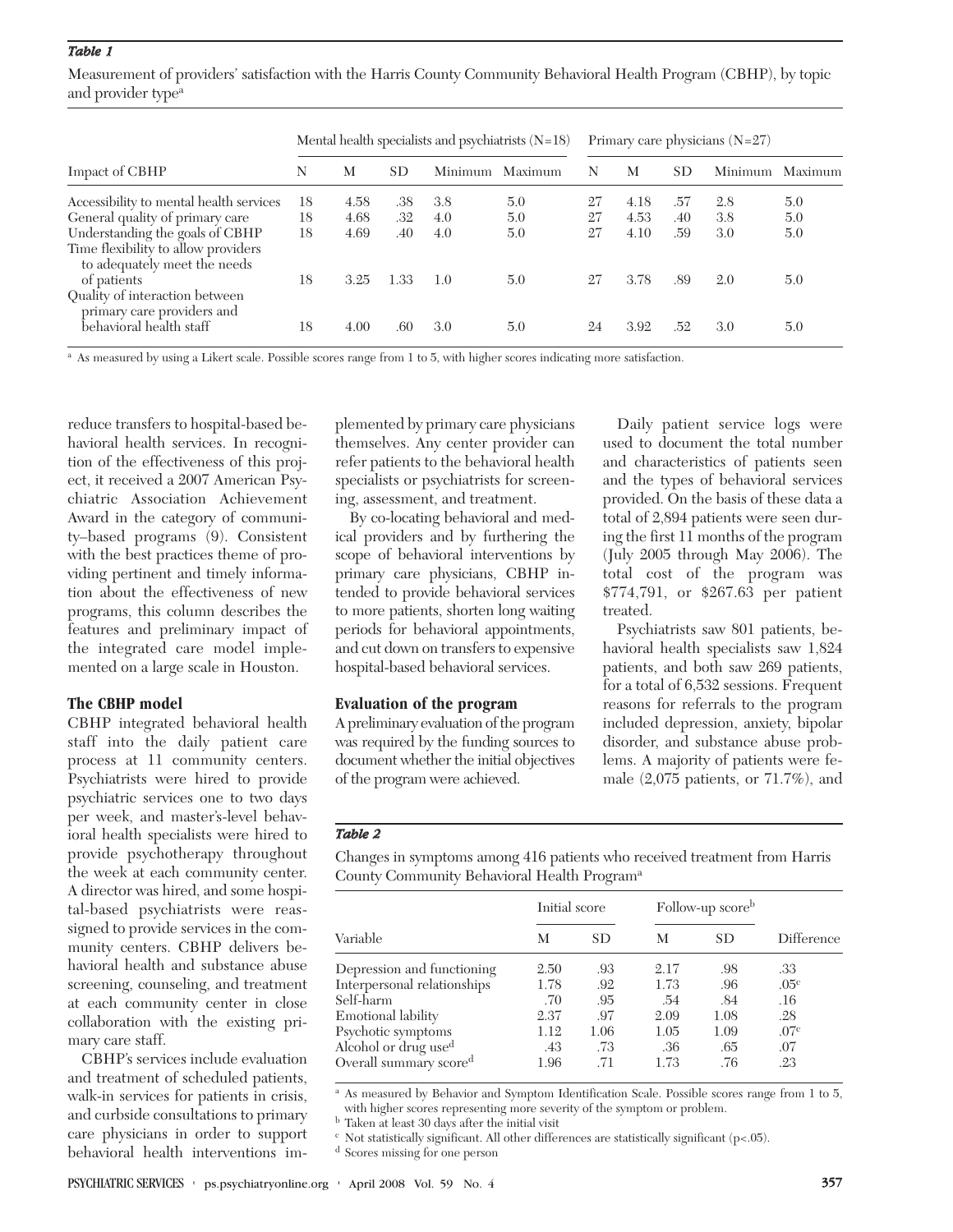# *Table 1*

Measurement of providers' satisfaction with the Harris County Community Behavioral Health Program (CBHP), by topic and provider type<sup>a</sup>

| Impact of CBHP                                                      | Mental health specialists and psychiatrists $(N=18)$ |      |      |         |         | Primary care physicians $(N=27)$ |      |     |         |         |
|---------------------------------------------------------------------|------------------------------------------------------|------|------|---------|---------|----------------------------------|------|-----|---------|---------|
|                                                                     | N                                                    | M    | SD.  | Minimum | Maximum | N                                | М    | SD. | Minimum | Maximum |
| Accessibility to mental health services                             | 18                                                   | 4.58 | .38  | 3.8     | 5.0     | 27                               | 4.18 | .57 | 2.8     | 5.0     |
| General quality of primary care                                     | 18                                                   | 4.68 | .32  | 4.0     | 5.0     | 27                               | 4.53 | .40 | 3.8     | 5.0     |
| Understanding the goals of CBHP                                     | 18                                                   | 4.69 | .40  | 4.0     | 5.0     | 27                               | 4.10 | .59 | 3.0     | 5.0     |
| Time flexibility to allow providers<br>to adequately meet the needs |                                                      |      |      |         |         |                                  |      |     |         |         |
| of patients                                                         | 18                                                   | 3.25 | 1.33 | 1.0     | 5.0     | 27                               | 3.78 | .89 | 2.0     | 5.0     |
| Quality of interaction between<br>primary care providers and        |                                                      |      |      |         |         |                                  |      |     |         |         |
| behavioral health staff                                             | 18                                                   | 4.00 | .60  | 3.0     | 5.0     | 24                               | 3.92 | .52 | 3.0     | 5.0     |

<sup>a</sup> As measured by using a Likert scale. Possible scores range from 1 to 5, with higher scores indicating more satisfaction.

reduce transfers to hospital-based behavioral health services. In recognition of the effectiveness of this project, it received a 2007 American Psychiatric Association Achievement Award in the category of community–based programs (9). Consistent with the best practices theme of providing pertinent and timely information about the effectiveness of new programs, this column describes the features and preliminary impact of the integrated care model implemented on a large scale in Houston.

#### **The CBHP model**

CBHP integrated behavioral health staff into the daily patient care process at 11 community centers. Psychiatrists were hired to provide psychiatric services one to two days per week, and master's-level behavioral health specialists were hired to provide psychotherapy throughout the week at each community center. A director was hired, and some hospital-based psychiatrists were reassigned to provide services in the community centers. CBHP delivers behavioral health and substance abuse screening, counseling, and treatment at each community center in close collaboration with the existing primary care staff.

CBHP's services include evaluation and treatment of scheduled patients, walk-in services for patients in crisis, and curbside consultations to primary care physicians in order to support behavioral health interventions im-

plemented by primary care physicians themselves. Any center provider can refer patients to the behavioral health specialists or psychiatrists for screening, assessment, and treatment.

By co-locating behavioral and medical providers and by furthering the scope of behavioral interventions by primary care physicians, CBHP intended to provide behavioral services to more patients, shorten long waiting periods for behavioral appointments, and cut down on transfers to expensive hospital-based behavioral services.

### **Evaluation of the program**

A preliminary evaluation of the program was required by the funding sources to document whether the initial objectives of the program were achieved.

Daily patient service logs were used to document the total number and characteristics of patients seen and the types of behavioral services provided. On the basis of these data a total of 2,894 patients were seen during the first 11 months of the program (July 2005 through May 2006). The total cost of the program was \$774,791, or \$267.63 per patient treated.

Psychiatrists saw 801 patients, behavioral health specialists saw 1,824 patients, and both saw 269 patients, for a total of 6,532 sessions. Frequent reasons for referrals to the program included depression, anxiety, bipolar disorder, and substance abuse problems. A majority of patients were female (2,075 patients, or 71.7%), and

# *Table 2*

Changes in symptoms among 416 patients who received treatment from Harris County Community Behavioral Health Programa

|                                    | Initial score |      | Follow-up scoreb |           |                  |  |
|------------------------------------|---------------|------|------------------|-----------|------------------|--|
| Variable                           | М             | SD.  | М                | <b>SD</b> | Difference       |  |
| Depression and functioning         | 2.50          | .93  | 2.17             | .98       | .33              |  |
| Interpersonal relationships        | 1.78          | .92  | 1.73             | .96       | .05 <sup>c</sup> |  |
| Self-harm                          | .70           | .95  | .54              | .84       | .16              |  |
| <b>Emotional lability</b>          | 2.37          | .97  | 2.09             | 1.08      | .28              |  |
| Psychotic symptoms                 | 1.12          | 1.06 | 1.05             | 1.09      | .07 <sup>c</sup> |  |
| Alcohol or drug use <sup>d</sup>   | .43           | .73  | .36              | .65       | .07              |  |
| Overall summary score <sup>d</sup> | 1.96          | .71  | 1.73             | .76       | .23              |  |

<sup>a</sup> As measured by Behavior and Symptom Identification Scale. Possible scores range from 1 to 5, with higher scores representing more severity of the symptom or problem.

<sup>b</sup> Taken at least 30 days after the initial visit

 $c$  Not statistically significant. All other differences are statistically significant (p<.05).

<sup>d</sup> Scores missing for one person